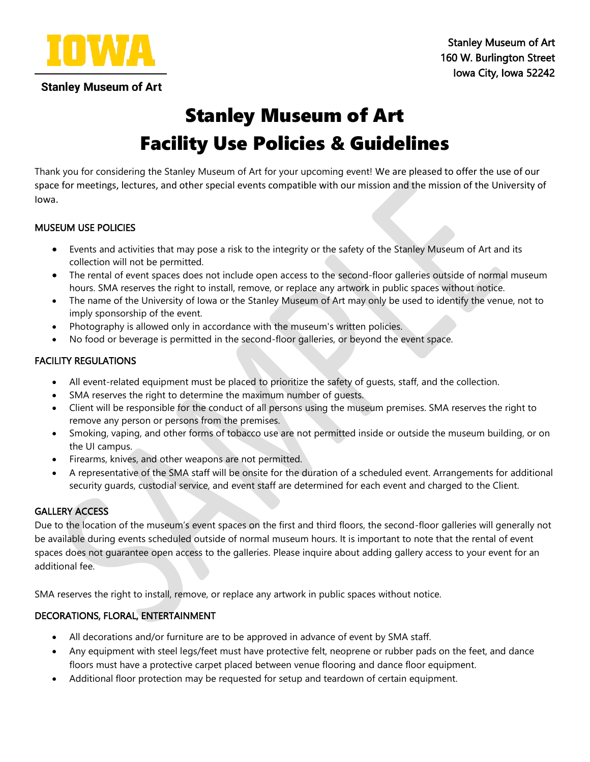

# Stanley Museum of Art Facility Use Policies & Guidelines

Thank you for considering the Stanley Museum of Art for your upcoming event! We are pleased to offer the use of our space for meetings, lectures, and other special events compatible with our mission and the mission of the University of Iowa.

## MUSEUM USE POLICIES

- Events and activities that may pose a risk to the integrity or the safety of the Stanley Museum of Art and its collection will not be permitted.
- The rental of event spaces does not include open access to the second-floor galleries outside of normal museum hours. SMA reserves the right to install, remove, or replace any artwork in public spaces without notice.
- The name of the University of Iowa or the Stanley Museum of Art may only be used to identify the venue, not to imply sponsorship of the event.
- Photography is allowed only in accordance with the museum's written policies.
- No food or beverage is permitted in the second-floor galleries, or beyond the event space.

## FACILITY REGULATIONS

- All event-related equipment must be placed to prioritize the safety of guests, staff, and the collection.
- SMA reserves the right to determine the maximum number of quests.
- Client will be responsible for the conduct of all persons using the museum premises. SMA reserves the right to remove any person or persons from the premises.
- Smoking, vaping, and other forms of tobacco use are not permitted inside or outside the museum building, or on the UI campus.
- Firearms, knives, and other weapons are not permitted.
- A representative of the SMA staff will be onsite for the duration of a scheduled event. Arrangements for additional security guards, custodial service, and event staff are determined for each event and charged to the Client.

# GALLERY ACCESS

Due to the location of the museum's event spaces on the first and third floors, the second-floor galleries will generally not be available during events scheduled outside of normal museum hours. It is important to note that the rental of event spaces does not guarantee open access to the galleries. Please inquire about adding gallery access to your event for an additional fee.

SMA reserves the right to install, remove, or replace any artwork in public spaces without notice.

#### DECORATIONS, FLORAL, ENTERTAINMENT

- All decorations and/or furniture are to be approved in advance of event by SMA staff.
- Any equipment with steel legs/feet must have protective felt, neoprene or rubber pads on the feet, and dance floors must have a protective carpet placed between venue flooring and dance floor equipment.
- Additional floor protection may be requested for setup and teardown of certain equipment.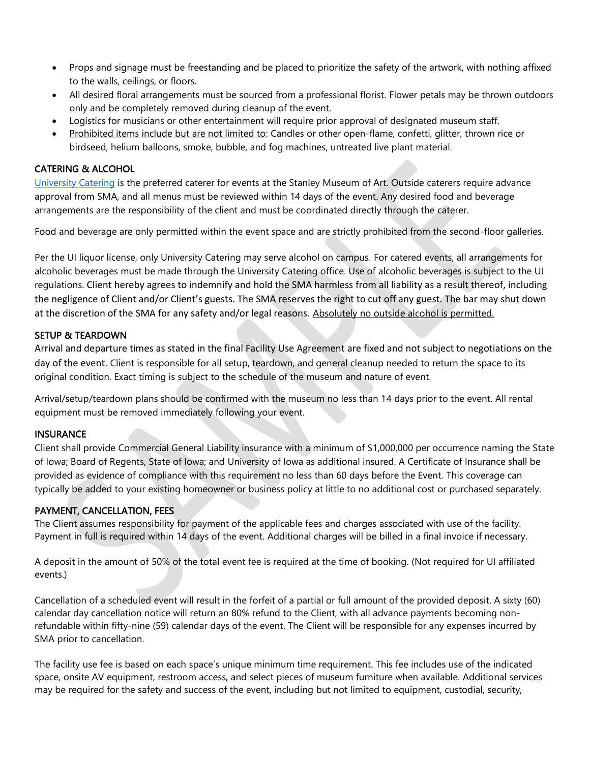- Props and signage must be freestanding and be placed to prioritize the safety of the artwork, with nothing affixed to the walls, ceilings, or floors.
- All desired floral arrangements must be sourced from a professional florist. Flower petals may be thrown outdoors only and be completely removed during cleanup of the event.
- Logistics for musicians or other entertainment will require prior approval of designated museum staff.
- Prohibited items include but are not limited to: Candles or other open-flame, confetti, glitter, thrown rice or birdseed, helium balloons, smoke, bubble, and fog machines, untreated live plant material.

#### CATERING & ALCOHOL

[University Catering](https://catering.uiowa.edu/events) is the preferred caterer for events at the Stanley Museum of Art. Outside caterers require advance approval from SMA, and all menus must be reviewed within 14 days of the event. Any desired food and beverage arrangements are the responsibility of the client and must be coordinated directly through the caterer.

Food and beverage are only permitted within the event space and are strictly prohibited from the second-floor galleries.

Per the UI liquor license, only University Catering may serve alcohol on campus. For catered events, all arrangements for alcoholic beverages must be made through the University Catering office. Use of alcoholic beverages is subject to the UI regulations. Client hereby agrees to indemnify and hold the SMA harmless from all liability as a result thereof, including the negligence of Client and/or Client's guests. The SMA reserves the right to cut off any guest. The bar may shut down at the discretion of the SMA for any safety and/or legal reasons. Absolutely no outside alcohol is permitted.

#### SETUP & TEARDOWN

Arrival and departure times as stated in the final Facility Use Agreement are fixed and not subject to negotiations on the day of the event. Client is responsible for all setup, teardown, and general cleanup needed to return the space to its original condition. Exact timing is subject to the schedule of the museum and nature of event.

Arrival/setup/teardown plans should be confirmed with the museum no less than 14 days prior to the event. All rental equipment must be removed immediately following your event.

#### **INSURANCE**

Client shall provide Commercial General Liability insurance with a minimum of \$1,000,000 per occurrence naming the State of Iowa; Board of Regents, State of Iowa; and University of Iowa as additional insured. A Certificate of Insurance shall be provided as evidence of compliance with this requirement no less than 60 days before the Event. This coverage can typically be added to your existing homeowner or business policy at little to no additional cost or purchased separately.

#### PAYMENT, CANCELLATION, FEES

The Client assumes responsibility for payment of the applicable fees and charges associated with use of the facility. Payment in full is required within 14 days of the event. Additional charges will be billed in a final invoice if necessary.

A deposit in the amount of 50% of the total event fee is required at the time of booking. (Not required for UI affiliated events.)

Cancellation of a scheduled event will result in the forfeit of a partial or full amount of the provided deposit. A sixty (60) calendar day cancellation notice will return an 80% refund to the Client, with all advance payments becoming nonrefundable within fifty-nine (59) calendar days of the event. The Client will be responsible for any expenses incurred by SMA prior to cancellation.

The facility use fee is based on each space's unique minimum time requirement. This fee includes use of the indicated space, onsite AV equipment, restroom access, and select pieces of museum furniture when available. Additional services may be required for the safety and success of the event, including but not limited to equipment, custodial, security,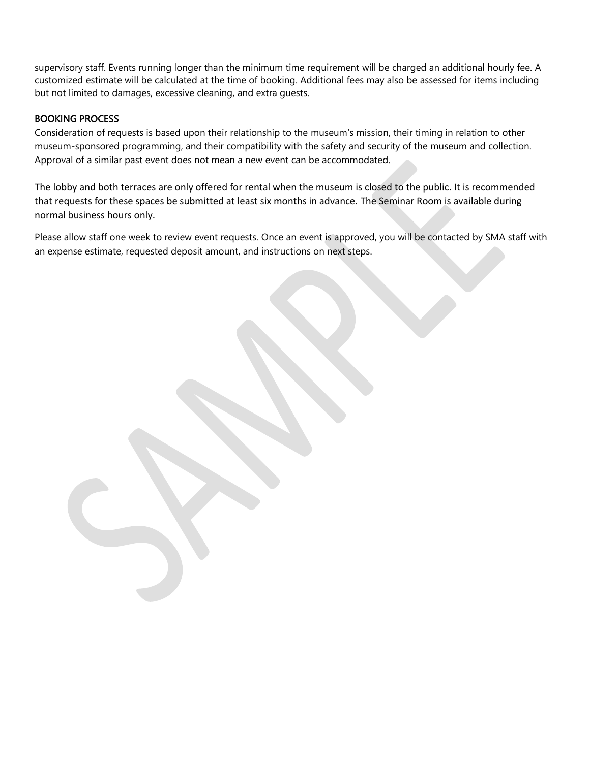supervisory staff. Events running longer than the minimum time requirement will be charged an additional hourly fee. A customized estimate will be calculated at the time of booking. Additional fees may also be assessed for items including but not limited to damages, excessive cleaning, and extra guests.

#### BOOKING PROCESS

Consideration of requests is based upon their relationship to the museum's mission, their timing in relation to other museum-sponsored programming, and their compatibility with the safety and security of the museum and collection. Approval of a similar past event does not mean a new event can be accommodated.

The lobby and both terraces are only offered for rental when the museum is closed to the public. It is recommended that requests for these spaces be submitted at least six months in advance. The Seminar Room is available during normal business hours only.

Please allow staff one week to review event requests. Once an event is approved, you will be contacted by SMA staff with an expense estimate, requested deposit amount, and instructions on next steps.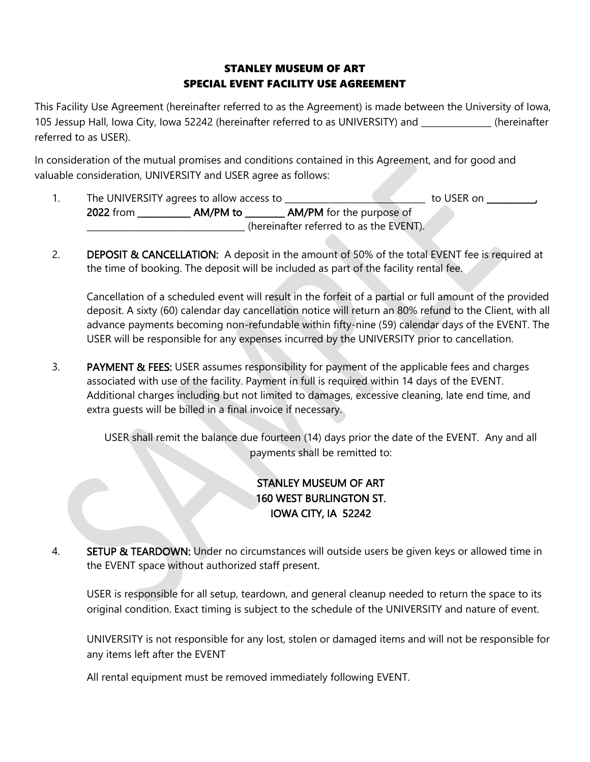# STANLEY MUSEUM OF ART SPECIAL EVENT FACILITY USE AGREEMENT

This Facility Use Agreement (hereinafter referred to as the Agreement) is made between the University of Iowa, 105 Jessup Hall, Iowa City, Iowa 52242 (hereinafter referred to as UNIVERSITY) and \_\_\_\_\_\_\_\_\_\_\_\_\_\_\_\_ (hereinafter referred to as USER).

In consideration of the mutual promises and conditions contained in this Agreement, and for good and valuable consideration, UNIVERSITY and USER agree as follows:

- 1. The UNIVERSITY agrees to allow access to \_\_\_\_\_\_\_\_\_\_\_\_\_\_\_\_\_\_\_\_\_\_\_\_\_\_\_\_\_\_\_\_ to USER on \_\_\_\_\_\_\_\_\_\_\_, 2022 from **AM/PM to AM/PM** for the purpose of \_\_\_\_\_\_\_\_\_\_\_\_\_\_\_\_\_\_\_\_\_\_\_\_\_\_\_\_\_\_\_\_\_\_\_\_ (hereinafter referred to as the EVENT).
- 2. **DEPOSIT & CANCELLATION:** A deposit in the amount of 50% of the total EVENT fee is required at the time of booking. The deposit will be included as part of the facility rental fee.

Cancellation of a scheduled event will result in the forfeit of a partial or full amount of the provided deposit. A sixty (60) calendar day cancellation notice will return an 80% refund to the Client, with all advance payments becoming non-refundable within fifty-nine (59) calendar days of the EVENT. The USER will be responsible for any expenses incurred by the UNIVERSITY prior to cancellation.

3. PAYMENT & FEES: USER assumes responsibility for payment of the applicable fees and charges associated with use of the facility. Payment in full is required within 14 days of the EVENT. Additional charges including but not limited to damages, excessive cleaning, late end time, and extra guests will be billed in a final invoice if necessary.

> USER shall remit the balance due fourteen (14) days prior the date of the EVENT. Any and all payments shall be remitted to:

# STANLEY MUSEUM OF ART 160 WEST BURLINGTON ST. IOWA CITY, IA 52242

4. SETUP & TEARDOWN: Under no circumstances will outside users be given keys or allowed time in the EVENT space without authorized staff present.

USER is responsible for all setup, teardown, and general cleanup needed to return the space to its original condition. Exact timing is subject to the schedule of the UNIVERSITY and nature of event.

UNIVERSITY is not responsible for any lost, stolen or damaged items and will not be responsible for any items left after the EVENT

All rental equipment must be removed immediately following EVENT.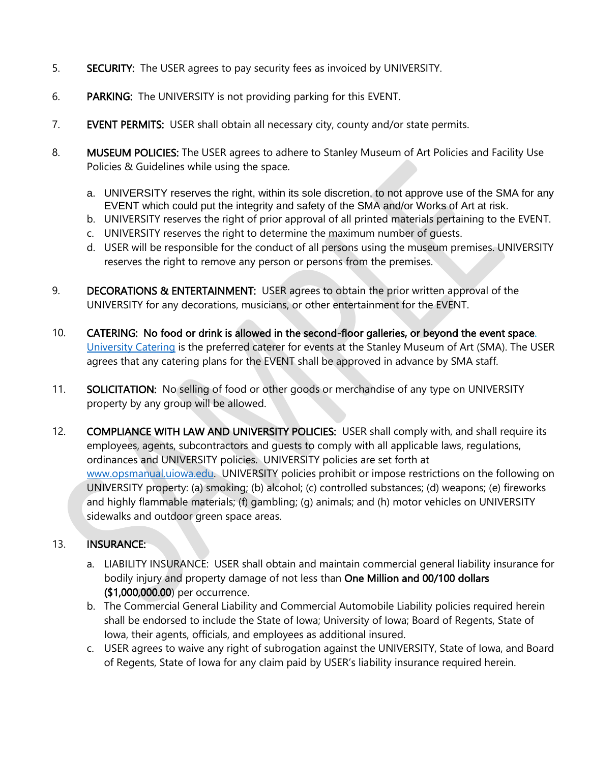- 5. SECURITY: The USER agrees to pay security fees as invoiced by UNIVERSITY.
- 6. PARKING: The UNIVERSITY is not providing parking for this EVENT.
- 7. EVENT PERMITS: USER shall obtain all necessary city, county and/or state permits.
- 8. MUSEUM POLICIES: The USER agrees to adhere to Stanley Museum of Art Policies and Facility Use Policies & Guidelines while using the space.
	- a. UNIVERSITY reserves the right, within its sole discretion, to not approve use of the SMA for any EVENT which could put the integrity and safety of the SMA and/or Works of Art at risk.
	- b. UNIVERSITY reserves the right of prior approval of all printed materials pertaining to the EVENT.
	- c. UNIVERSITY reserves the right to determine the maximum number of guests.
	- d. USER will be responsible for the conduct of all persons using the museum premises. UNIVERSITY reserves the right to remove any person or persons from the premises.
- 9. DECORATIONS & ENTERTAINMENT: USER agrees to obtain the prior written approval of the UNIVERSITY for any decorations, musicians, or other entertainment for the EVENT.
- 10. CATERING: No food or drink is allowed in the second-floor galleries, or beyond the event space. [University Catering](https://catering.uiowa.edu/events) is the preferred caterer for events at the Stanley Museum of Art (SMA). The USER agrees that any catering plans for the EVENT shall be approved in advance by SMA staff.
- 11. SOLICITATION: No selling of food or other goods or merchandise of any type on UNIVERSITY property by any group will be allowed.
- 12. COMPLIANCE WITH LAW AND UNIVERSITY POLICIES: USER shall comply with, and shall require its employees, agents, subcontractors and guests to comply with all applicable laws, regulations, ordinances and UNIVERSITY policies. UNIVERSITY policies are set forth at [www.opsmanual.uiowa.edu.](http://www.opsmanual.uiowa.edu/) UNIVERSITY policies prohibit or impose restrictions on the following on UNIVERSITY property: (a) smoking; (b) alcohol; (c) controlled substances; (d) weapons; (e) fireworks and highly flammable materials; (f) gambling; (g) animals; and (h) motor vehicles on UNIVERSITY sidewalks and outdoor green space areas.

# 13. INSURANCE:

- a. LIABILITY INSURANCE: USER shall obtain and maintain commercial general liability insurance for bodily injury and property damage of not less than One Million and 00/100 dollars (\$1,000,000.00) per occurrence.
- b. The Commercial General Liability and Commercial Automobile Liability policies required herein shall be endorsed to include the State of Iowa; University of Iowa; Board of Regents, State of Iowa, their agents, officials, and employees as additional insured.
- c. USER agrees to waive any right of subrogation against the UNIVERSITY, State of Iowa, and Board of Regents, State of Iowa for any claim paid by USER's liability insurance required herein.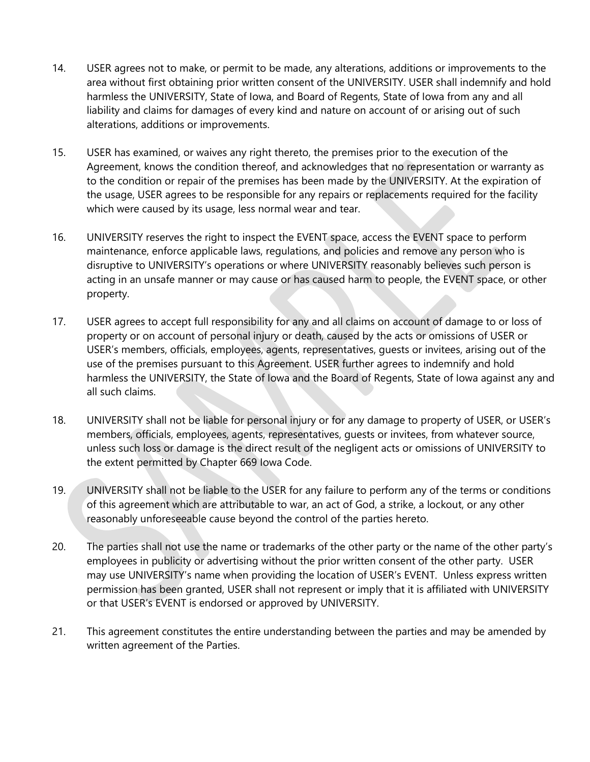- 14. USER agrees not to make, or permit to be made, any alterations, additions or improvements to the area without first obtaining prior written consent of the UNIVERSITY. USER shall indemnify and hold harmless the UNIVERSITY, State of Iowa, and Board of Regents, State of Iowa from any and all liability and claims for damages of every kind and nature on account of or arising out of such alterations, additions or improvements.
- 15. USER has examined, or waives any right thereto, the premises prior to the execution of the Agreement, knows the condition thereof, and acknowledges that no representation or warranty as to the condition or repair of the premises has been made by the UNIVERSITY. At the expiration of the usage, USER agrees to be responsible for any repairs or replacements required for the facility which were caused by its usage, less normal wear and tear.
- 16. UNIVERSITY reserves the right to inspect the EVENT space, access the EVENT space to perform maintenance, enforce applicable laws, regulations, and policies and remove any person who is disruptive to UNIVERSITY's operations or where UNIVERSITY reasonably believes such person is acting in an unsafe manner or may cause or has caused harm to people, the EVENT space, or other property.
- 17. USER agrees to accept full responsibility for any and all claims on account of damage to or loss of property or on account of personal injury or death, caused by the acts or omissions of USER or USER's members, officials, employees, agents, representatives, guests or invitees, arising out of the use of the premises pursuant to this Agreement. USER further agrees to indemnify and hold harmless the UNIVERSITY, the State of Iowa and the Board of Regents, State of Iowa against any and all such claims.
- 18. UNIVERSITY shall not be liable for personal injury or for any damage to property of USER, or USER's members, officials, employees, agents, representatives, guests or invitees, from whatever source, unless such loss or damage is the direct result of the negligent acts or omissions of UNIVERSITY to the extent permitted by Chapter 669 Iowa Code.
- 19. UNIVERSITY shall not be liable to the USER for any failure to perform any of the terms or conditions of this agreement which are attributable to war, an act of God, a strike, a lockout, or any other reasonably unforeseeable cause beyond the control of the parties hereto.
- 20. The parties shall not use the name or trademarks of the other party or the name of the other party's employees in publicity or advertising without the prior written consent of the other party. USER may use UNIVERSITY's name when providing the location of USER's EVENT. Unless express written permission has been granted, USER shall not represent or imply that it is affiliated with UNIVERSITY or that USER's EVENT is endorsed or approved by UNIVERSITY.
- 21. This agreement constitutes the entire understanding between the parties and may be amended by written agreement of the Parties.